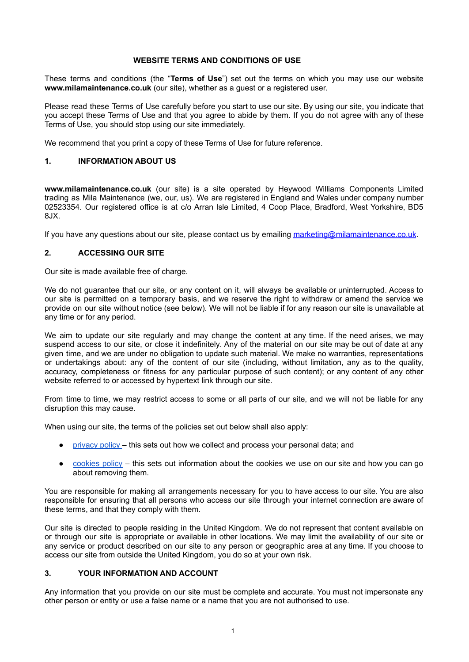#### **WEBSITE TERMS AND CONDITIONS OF USE**

These terms and conditions (the "**Terms of Use**") set out the terms on which you may use our website **www.milamaintenance.co.uk** (our site), whether as a guest or a registered user.

Please read these Terms of Use carefully before you start to use our site. By using our site, you indicate that you accept these Terms of Use and that you agree to abide by them. If you do not agree with any of these Terms of Use, you should stop using our site immediately.

We recommend that you print a copy of these Terms of Use for future reference.

#### **1. INFORMATION ABOUT US**

**www.milamaintenance.co.uk** (our site) is a site operated by Heywood Williams Components Limited trading as Mila Maintenance (we, our, us). We are registered in England and Wales under company number 02523354. Our registered office is at c/o Arran Isle Limited, 4 Coop Place, Bradford, West Yorkshire, BD5 8JX.

If you have any questions about our site, please contact us by emailing [marketing@milamaintenance.co.uk](mailto:marketing@milamaintenance.co.uk).

### **2. ACCESSING OUR SITE**

Our site is made available free of charge.

We do not guarantee that our site, or any content on it, will always be available or uninterrupted. Access to our site is permitted on a temporary basis, and we reserve the right to withdraw or amend the service we provide on our site without notice (see below). We will not be liable if for any reason our site is unavailable at any time or for any period.

We aim to update our site regularly and may change the content at any time. If the need arises, we may suspend access to our site, or close it indefinitely. Any of the material on our site may be out of date at any given time, and we are under no obligation to update such material. We make no warranties, representations or undertakings about: any of the content of our site (including, without limitation, any as to the quality, accuracy, completeness or fitness for any particular purpose of such content); or any content of any other website referred to or accessed by hypertext link through our site.

From time to time, we may restrict access to some or all parts of our site, and we will not be liable for any disruption this may cause.

When using our site, the terms of the policies set out below shall also apply:

- [privacy](https://milamaintenance.co.uk/wp-content/uploads/2022/04/Arran-Isle-UK-Privacy-Policy-Apr-22-FINAL-1.pdf) policy this sets out how we collect and process your personal data; and
- [cookies](https://milamaintenance.co.uk/cookie-policy/) policy this sets out information about the cookies we use on our site and how you can go about removing them.

You are responsible for making all arrangements necessary for you to have access to our site. You are also responsible for ensuring that all persons who access our site through your internet connection are aware of these terms, and that they comply with them.

Our site is directed to people residing in the United Kingdom. We do not represent that content available on or through our site is appropriate or available in other locations. We may limit the availability of our site or any service or product described on our site to any person or geographic area at any time. If you choose to access our site from outside the United Kingdom, you do so at your own risk.

### **3. YOUR INFORMATION AND ACCOUNT**

Any information that you provide on our site must be complete and accurate. You must not impersonate any other person or entity or use a false name or a name that you are not authorised to use.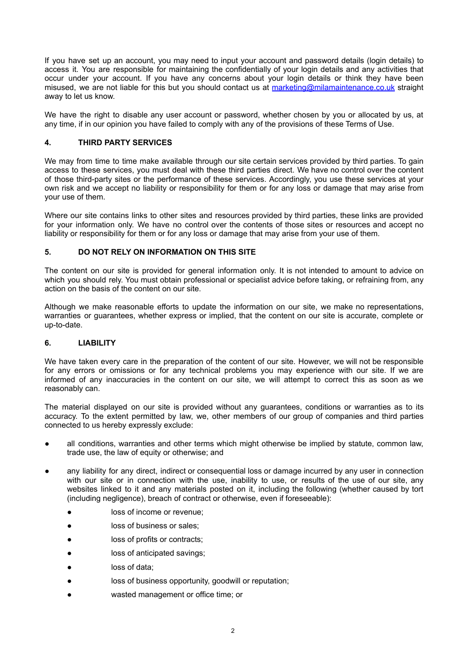If you have set up an account, you may need to input your account and password details (login details) to access it. You are responsible for maintaining the confidentially of your login details and any activities that occur under your account. If you have any concerns about your login details or think they have been misused, we are not liable for this but you should contact us at [marketing@milamaintenance.co.uk](mailto:marketing@milamaintenance.co.uk) straight away to let us know.

We have the right to disable any user account or password, whether chosen by you or allocated by us, at any time, if in our opinion you have failed to comply with any of the provisions of these Terms of Use.

### **4. THIRD PARTY SERVICES**

We may from time to time make available through our site certain services provided by third parties. To gain access to these services, you must deal with these third parties direct. We have no control over the content of those third-party sites or the performance of these services. Accordingly, you use these services at your own risk and we accept no liability or responsibility for them or for any loss or damage that may arise from your use of them.

Where our site contains links to other sites and resources provided by third parties, these links are provided for your information only. We have no control over the contents of those sites or resources and accept no liability or responsibility for them or for any loss or damage that may arise from your use of them.

# **5. DO NOT RELY ON INFORMATION ON THIS SITE**

The content on our site is provided for general information only. It is not intended to amount to advice on which you should rely. You must obtain professional or specialist advice before taking, or refraining from, any action on the basis of the content on our site.

Although we make reasonable efforts to update the information on our site, we make no representations, warranties or guarantees, whether express or implied, that the content on our site is accurate, complete or up-to-date.

### **6. LIABILITY**

We have taken every care in the preparation of the content of our site. However, we will not be responsible for any errors or omissions or for any technical problems you may experience with our site. If we are informed of any inaccuracies in the content on our site, we will attempt to correct this as soon as we reasonably can.

The material displayed on our site is provided without any guarantees, conditions or warranties as to its accuracy. To the extent permitted by law, we, other members of our group of companies and third parties connected to us hereby expressly exclude:

- all conditions, warranties and other terms which might otherwise be implied by statute, common law, trade use, the law of equity or otherwise; and
- any liability for any direct, indirect or consequential loss or damage incurred by any user in connection with our site or in connection with the use, inability to use, or results of the use of our site, any websites linked to it and any materials posted on it, including the following (whether caused by tort (including negligence), breach of contract or otherwise, even if foreseeable):
	- loss of income or revenue;
	- loss of business or sales;
	- loss of profits or contracts;
	- loss of anticipated savings;
	- loss of data:
	- loss of business opportunity, goodwill or reputation;
	- wasted management or office time; or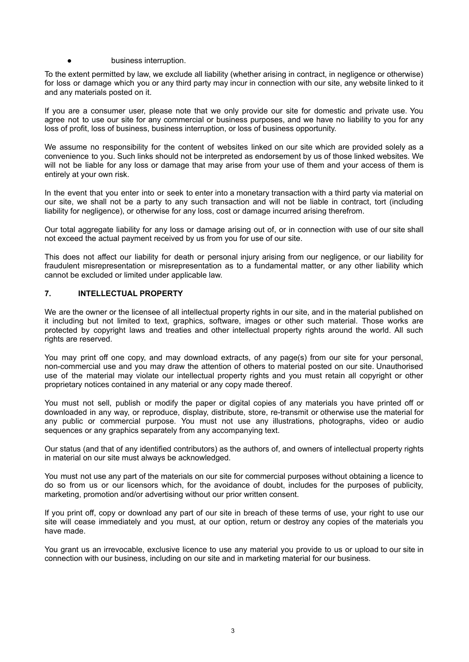#### ● business interruption.

To the extent permitted by law, we exclude all liability (whether arising in contract, in negligence or otherwise) for loss or damage which you or any third party may incur in connection with our site, any website linked to it and any materials posted on it.

If you are a consumer user, please note that we only provide our site for domestic and private use. You agree not to use our site for any commercial or business purposes, and we have no liability to you for any loss of profit, loss of business, business interruption, or loss of business opportunity.

We assume no responsibility for the content of websites linked on our site which are provided solely as a convenience to you. Such links should not be interpreted as endorsement by us of those linked websites. We will not be liable for any loss or damage that may arise from your use of them and your access of them is entirely at your own risk.

In the event that you enter into or seek to enter into a monetary transaction with a third party via material on our site, we shall not be a party to any such transaction and will not be liable in contract, tort (including liability for negligence), or otherwise for any loss, cost or damage incurred arising therefrom.

Our total aggregate liability for any loss or damage arising out of, or in connection with use of our site shall not exceed the actual payment received by us from you for use of our site.

This does not affect our liability for death or personal injury arising from our negligence, or our liability for fraudulent misrepresentation or misrepresentation as to a fundamental matter, or any other liability which cannot be excluded or limited under applicable law.

#### **7. INTELLECTUAL PROPERTY**

We are the owner or the licensee of all intellectual property rights in our site, and in the material published on it including but not limited to text, graphics, software, images or other such material. Those works are protected by copyright laws and treaties and other intellectual property rights around the world. All such rights are reserved.

You may print off one copy, and may download extracts, of any page(s) from our site for your personal, non-commercial use and you may draw the attention of others to material posted on our site. Unauthorised use of the material may violate our intellectual property rights and you must retain all copyright or other proprietary notices contained in any material or any copy made thereof.

You must not sell, publish or modify the paper or digital copies of any materials you have printed off or downloaded in any way, or reproduce, display, distribute, store, re-transmit or otherwise use the material for any public or commercial purpose. You must not use any illustrations, photographs, video or audio sequences or any graphics separately from any accompanying text.

Our status (and that of any identified contributors) as the authors of, and owners of intellectual property rights in material on our site must always be acknowledged.

You must not use any part of the materials on our site for commercial purposes without obtaining a licence to do so from us or our licensors which, for the avoidance of doubt, includes for the purposes of publicity, marketing, promotion and/or advertising without our prior written consent.

If you print off, copy or download any part of our site in breach of these terms of use, your right to use our site will cease immediately and you must, at our option, return or destroy any copies of the materials you have made.

You grant us an irrevocable, exclusive licence to use any material you provide to us or upload to our site in connection with our business, including on our site and in marketing material for our business.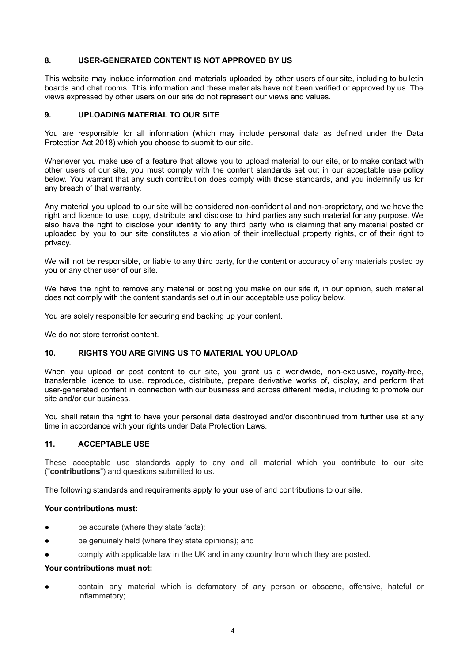### **8. USER-GENERATED CONTENT IS NOT APPROVED BY US**

This website may include information and materials uploaded by other users of our site, including to bulletin boards and chat rooms. This information and these materials have not been verified or approved by us. The views expressed by other users on our site do not represent our views and values.

## **9. UPLOADING MATERIAL TO OUR SITE**

You are responsible for all information (which may include personal data as defined under the Data Protection Act 2018) which you choose to submit to our site.

Whenever you make use of a feature that allows you to upload material to our site, or to make contact with other users of our site, you must comply with the content standards set out in our acceptable use policy below. You warrant that any such contribution does comply with those standards, and you indemnify us for any breach of that warranty.

Any material you upload to our site will be considered non-confidential and non-proprietary, and we have the right and licence to use, copy, distribute and disclose to third parties any such material for any purpose. We also have the right to disclose your identity to any third party who is claiming that any material posted or uploaded by you to our site constitutes a violation of their intellectual property rights, or of their right to privacy.

We will not be responsible, or liable to any third party, for the content or accuracy of any materials posted by you or any other user of our site.

We have the right to remove any material or posting you make on our site if, in our opinion, such material does not comply with the content standards set out in our acceptable use policy below.

You are solely responsible for securing and backing up your content.

We do not store terrorist content.

### **10. RIGHTS YOU ARE GIVING US TO MATERIAL YOU UPLOAD**

When you upload or post content to our site, you grant us a worldwide, non-exclusive, royalty-free, transferable licence to use, reproduce, distribute, prepare derivative works of, display, and perform that user-generated content in connection with our business and across different media, including to promote our site and/or our business.

You shall retain the right to have your personal data destroyed and/or discontinued from further use at any time in accordance with your rights under Data Protection Laws.

### **11. ACCEPTABLE USE**

These acceptable use standards apply to any and all material which you contribute to our site ("**contributions**") and questions submitted to us.

The following standards and requirements apply to your use of and contributions to our site.

### **Your contributions must:**

- be accurate (where they state facts);
- be genuinely held (where they state opinions); and
- comply with applicable law in the UK and in any country from which they are posted.

# **Your contributions must not:**

● contain any material which is defamatory of any person or obscene, offensive, hateful or inflammatory;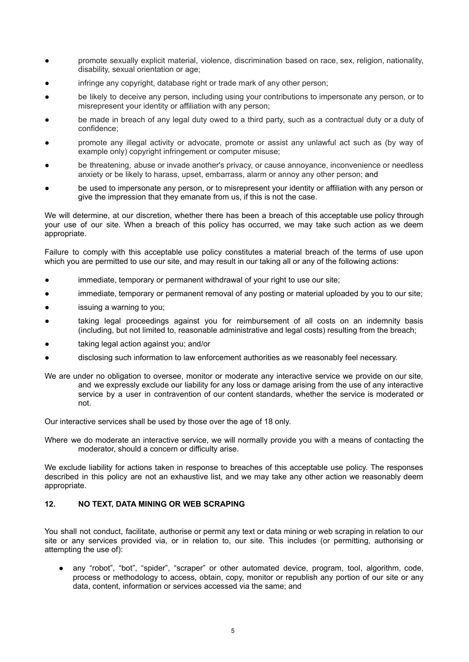- promote sexually explicit material, violence, discrimination based on race, sex, religion, nationality, disability, sexual orientation or age;
- infringe any copyright, database right or trade mark of any other person;
- be likely to deceive any person, including using your contributions to impersonate any person, or to misrepresent your identity or affiliation with any person;
- be made in breach of any legal duty owed to a third party, such as a contractual duty or a duty of confidence;
- promote any illegal activity or advocate, promote or assist any unlawful act such as (by way of example only) copyright infringement or computer misuse;
- be threatening, abuse or invade another's privacy, or cause annoyance, inconvenience or needless anxiety or be likely to harass, upset, embarrass, alarm or annoy any other person; and
- be used to impersonate any person, or to misrepresent your identity or affiliation with any person or give the impression that they emanate from us, if this is not the case.

We will determine, at our discretion, whether there has been a breach of this acceptable use policy through your use of our site. When a breach of this policy has occurred, we may take such action as we deem appropriate.

Failure to comply with this acceptable use policy constitutes a material breach of the terms of use upon which you are permitted to use our site, and may result in our taking all or any of the following actions:

- immediate, temporary or permanent withdrawal of your right to use our site;
- immediate, temporary or permanent removal of any posting or material uploaded by you to our site;
- issuing a warning to you;
- taking legal proceedings against you for reimbursement of all costs on an indemnity basis (including, but not limited to, reasonable administrative and legal costs) resulting from the breach;
- taking legal action against you; and/or
- disclosing such information to law enforcement authorities as we reasonably feel necessary.
- We are under no obligation to oversee, monitor or moderate any interactive service we provide on our site, and we expressly exclude our liability for any loss or damage arising from the use of any interactive service by a user in contravention of our content standards, whether the service is moderated or not.

Our interactive services shall be used by those over the age of 18 only.

Where we do moderate an interactive service, we will normally provide you with a means of contacting the moderator, should a concern or difficulty arise.

We exclude liability for actions taken in response to breaches of this acceptable use policy. The responses described in this policy are not an exhaustive list, and we may take any other action we reasonably deem appropriate.

### **12. NO TEXT, DATA MINING OR WEB SCRAPING**

You shall not conduct, facilitate, authorise or permit any text or data mining or web scraping in relation to our site or any services provided via, or in relation to, our site. This includes (or permitting, authorising or attempting the use of):

● any "robot", "bot", "spider", "scraper" or other automated device, program, tool, algorithm, code, process or methodology to access, obtain, copy, monitor or republish any portion of our site or any data, content, information or services accessed via the same; and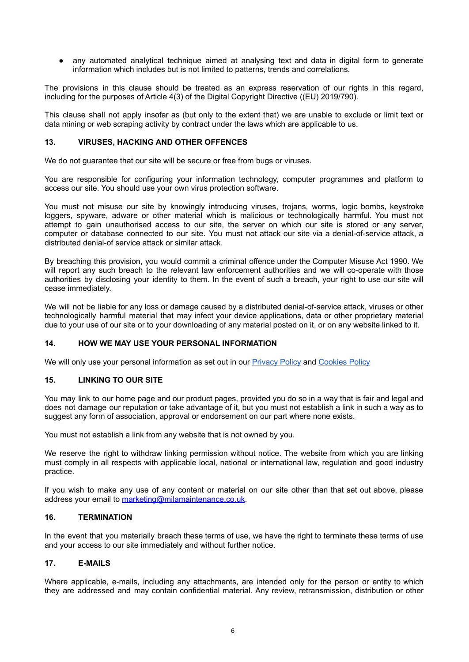any automated analytical technique aimed at analysing text and data in digital form to generate information which includes but is not limited to patterns, trends and correlations.

The provisions in this clause should be treated as an express reservation of our rights in this regard, including for the purposes of Article 4(3) of the Digital Copyright Directive ((EU) 2019/790).

This clause shall not apply insofar as (but only to the extent that) we are unable to exclude or limit text or data mining or web scraping activity by contract under the laws which are applicable to us.

#### **13. VIRUSES, HACKING AND OTHER OFFENCES**

We do not guarantee that our site will be secure or free from bugs or viruses.

You are responsible for configuring your information technology, computer programmes and platform to access our site. You should use your own virus protection software.

You must not misuse our site by knowingly introducing viruses, trojans, worms, logic bombs, keystroke loggers, spyware, adware or other material which is malicious or technologically harmful. You must not attempt to gain unauthorised access to our site, the server on which our site is stored or any server, computer or database connected to our site. You must not attack our site via a denial-of-service attack, a distributed denial-of service attack or similar attack.

By breaching this provision, you would commit a criminal offence under the Computer Misuse Act 1990. We will report any such breach to the relevant law enforcement authorities and we will co-operate with those authorities by disclosing your identity to them. In the event of such a breach, your right to use our site will cease immediately.

We will not be liable for any loss or damage caused by a distributed denial-of-service attack, viruses or other technologically harmful material that may infect your device applications, data or other proprietary material due to your use of our site or to your downloading of any material posted on it, or on any website linked to it.

### **14. HOW WE MAY USE YOUR PERSONAL INFORMATION**

We will only use your personal information as set out in our **[Privacy](https://milamaintenance.co.uk/wp-content/uploads/2022/04/Arran-Isle-UK-Privacy-Policy-Apr-22-FINAL-1.pdf) Policy and [Cookies](https://milamaintenance.co.uk/cookie-policy/) Policy** 

### **15. LINKING TO OUR SITE**

You may link to our home page and our product pages, provided you do so in a way that is fair and legal and does not damage our reputation or take advantage of it, but you must not establish a link in such a way as to suggest any form of association, approval or endorsement on our part where none exists.

You must not establish a link from any website that is not owned by you.

We reserve the right to withdraw linking permission without notice. The website from which you are linking must comply in all respects with applicable local, national or international law, regulation and good industry practice.

If you wish to make any use of any content or material on our site other than that set out above, please address your email to [marketing@milamaintenance.co.uk](mailto:marketing@milamaintenance.co.uk).

## **16. TERMINATION**

In the event that you materially breach these terms of use, we have the right to terminate these terms of use and your access to our site immediately and without further notice.

### **17. E-MAILS**

Where applicable, e-mails, including any attachments, are intended only for the person or entity to which they are addressed and may contain confidential material. Any review, retransmission, distribution or other